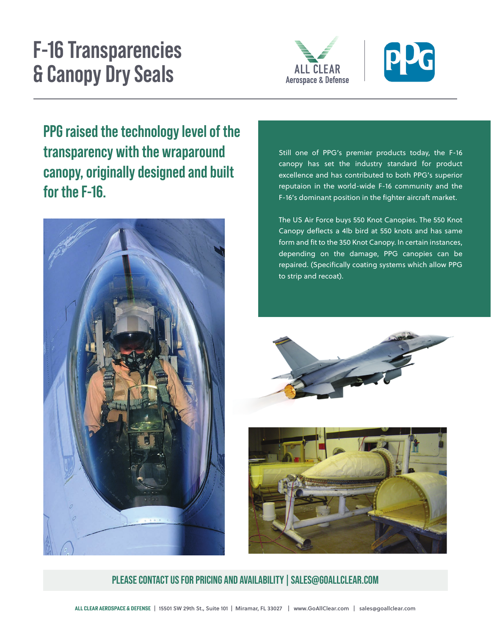# **F-16 Transparencies & Canopy Dry Seals**





**canopartic industry with the wraparound** the state of the spenner products today, the r-16<br>Canopy has set the industry standard for product FFU TAISEU LIIE LEGHINUUY IEVEI UT LIIE<br>Thenenevenev with the wrenevernal **canopy, originally designed and built for the F-16. Canop PPG raised the technology level of the transparency with the wraparound for the F-16.**



Still one of PPG's premier products today, the F-16 excellence and has contributed to both PPG's superior reputaion in the world-wide F-16 community and the F-16's dominant position in the fighter aircraft market.

The US Air Force buys 550 Knot Canopies. The 550 Knot The US All Force buys 350 Kilot Calloples. The 350 Kilot Calloples and has same Canopy deflects a 4lb bird at 550 knots and has same form and fit to the 350 Knot Canopy. In certain instances,  $\frac{1}{2}$  depending on the demand  $\frac{1}{2}$  and  $\frac{1}{2}$ depending on the damage, PPG canopies can be repaired. (Specifically coating systems which allow PPG **F-16 canonical strip and recoat).** The industry standard for industry standard for



product excellence and has contributed to both Texstars' superior reputaion in the world-wide  $\mathbf{F}_{\mathbf{r}}$  and the F-16's dominant position and the F-16's dominant position  $\mathbf{r}$ 



PLEASE CONTACT US FOR PRICING AND AVAILABILITY | SALES@GOALLCLEAR.COM